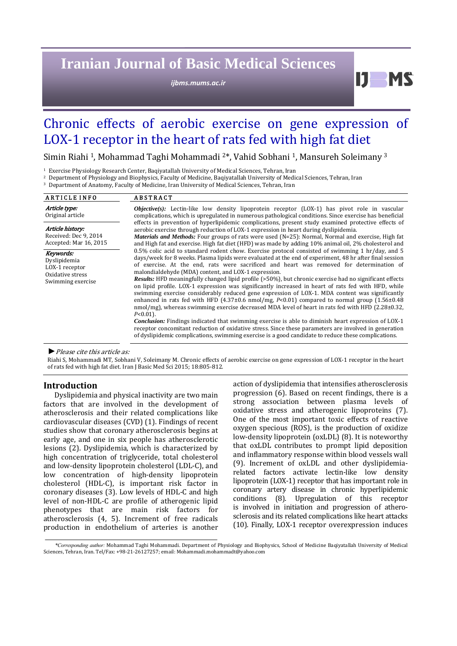# **Iranian Journal of Basic Medical Sciences**

*ijbms.mums.ac.ir*

# Chronic effects of aerobic exercise on gene expression of LOX-1 receptor in the heart of rats fed with high fat diet

Simin Riahi<sup>1</sup>, Mohammad Taghi Mohammadi<sup>2\*</sup>, Vahid Sobhani<sup>1</sup>, Mansureh Soleimany<sup>3</sup>

<sup>1</sup> Exercise Physiology Research Center, Baqiyatallah University of Medical Sciences, Tehran, Iran

<sup>2</sup> Department of Physiology and Biophysics, Faculty of Medicine, Baqiyatallah University of Medical Sciences, Tehran, Iran

<sup>3</sup> Department of Anatomy, Faculty of Medicine, Iran University of Medical Sciences, Tehran, Iran

| <b>ARTICLE INFO</b>                                                                  | <b>ABSTRACT</b>                                                                                                                                                                                                                                                                                                                                                                                                                                                                                                                                                                                                                                                                                                                                                                                                                                                                                                                                                                                                                                                                                                                                                                                                                                               |  |  |  |
|--------------------------------------------------------------------------------------|---------------------------------------------------------------------------------------------------------------------------------------------------------------------------------------------------------------------------------------------------------------------------------------------------------------------------------------------------------------------------------------------------------------------------------------------------------------------------------------------------------------------------------------------------------------------------------------------------------------------------------------------------------------------------------------------------------------------------------------------------------------------------------------------------------------------------------------------------------------------------------------------------------------------------------------------------------------------------------------------------------------------------------------------------------------------------------------------------------------------------------------------------------------------------------------------------------------------------------------------------------------|--|--|--|
| Article type:<br>Original article                                                    | <b><i>Objective(s)</i></b> : Lectin-like low density lipoprotein receptor (LOX-1) has pivot role in vascular<br>complications, which is upregulated in numerous pathological conditions. Since exercise has beneficial                                                                                                                                                                                                                                                                                                                                                                                                                                                                                                                                                                                                                                                                                                                                                                                                                                                                                                                                                                                                                                        |  |  |  |
| Article history:<br>Received: Dec 9, 2014<br>Accepted: Mar 16, 2015                  | effects in prevention of hyperlipidemic complications, present study examined protective effects of<br>aerobic exercise through reduction of LOX-1 expression in heart during dyslipidemia.<br>Materials and Methods: Four groups of rats were used (N=25): Normal, Normal and exercise, High fat<br>and High fat and exercise. High fat diet (HFD) was made by adding 10% animal oil, 2% cholesterol and                                                                                                                                                                                                                                                                                                                                                                                                                                                                                                                                                                                                                                                                                                                                                                                                                                                     |  |  |  |
| Keywords:<br>Dyslipidemia<br>LOX-1 receptor<br>Oxidative stress<br>Swimming exercise | 0.5% colic acid to standard rodent chow. Exercise protocol consisted of swimming 1 hr/day, and 5<br>days/week for 8 weeks. Plasma lipids were evaluated at the end of experiment, 48 hr after final session<br>of exercise. At the end, rats were sacrificed and heart was removed for determination of<br>malondialdehyde (MDA) content, and LOX-1 expression.<br><b>Results:</b> HFD meaningfully changed lipid profile (>50%), but chronic exercise had no significant effects<br>on lipid profile. LOX-1 expression was significantly increased in heart of rats fed with HFD, while<br>swimming exercise considerably reduced gene expression of LOX-1. MDA content was significantly<br>enhanced in rats fed with HFD $(4.37\pm0.6 \text{ nmol/mg}, P<0.01)$ compared to normal group $(1.56\pm0.48)$<br>nmol/mg), whereas swimming exercise decreased MDA level of heart in rats fed with HFD (2.28±0.32,<br>$P<0.01$ ).<br><b>Conclusion:</b> Findings indicated that swimming exercise is able to diminish heart expression of LOX-1<br>receptor concomitant reduction of oxidative stress. Since these parameters are involved in generation<br>of dyslipidemic complications, swimming exercise is a good candidate to reduce these complications. |  |  |  |

▶ *Please cite this article as:* 

Riahi S, Mohammadi MT, Sobhani V, Soleimany M. Chronic effects of aerobic exercise on gene expression of LOX-1 receptor in the heart of rats fed with high fat diet. Iran I Basic Med Sci 2015; 18:805-812.

### **Introduction**

Dyslipidemia and physical inactivity are two main factors that are involved in the development of atherosclerosis and their related complications like cardiovascular diseases (CVD) (1). Findings of recent studies show that coronary atherosclerosis begins at early age, and one in six people has atherosclerotic lesions (2). Dyslipidemia, which is characterized by high concentration of triglyceride, total cholesterol and low-density lipoprotein cholesterol (LDL-C), and low concentration of high-density lipoprotein cholesterol (HDL-C), is important risk factor in coronary diseases (3). Low levels of HDL-C and high level of non-HDL-C are profile of atherogenic lipid phenotypes that are main risk factors for atherosclerosis (4, 5). Increment of free radicals production in endothelium of arteries is another action of dyslipidemia that intensifies atherosclerosis progression  $(6)$ . Based on recent findings, there is a strong association between plasma levels of oxidative stress and atherogenic lipoproteins (7). One of the most important toxic effects of reactive oxygen specious (ROS), is the production of oxidize low-density lipoprotein (oxLDL) (8). It is noteworthy that oxLDL contributes to prompt lipid deposition and inflammatory response within blood vessels wall (9). Increment of oxLDL and other dyslipidemiarelated factors activate lectin-like low density lipoprotein (LOX-1) receptor that has important role in coronary artery disease in chronic hyperlipidemic conditions (8). Upregulation of this receptor is involved in initiation and progression of atherosclerosis and its related complications like heart attacks (10). Finally, LOX-1 receptor overexpression induces

D.

*<sup>\*</sup>Corresponding author:* Mohammad Taghi Mohammadi. Department of Physiology and Biophysics, School of Medicine Baqiyatallah University of Medical Sciences, Tehran, Iran. Tel/Fax: +98-21-26127257; email: Mohammadi.mohammadt@yahoo.com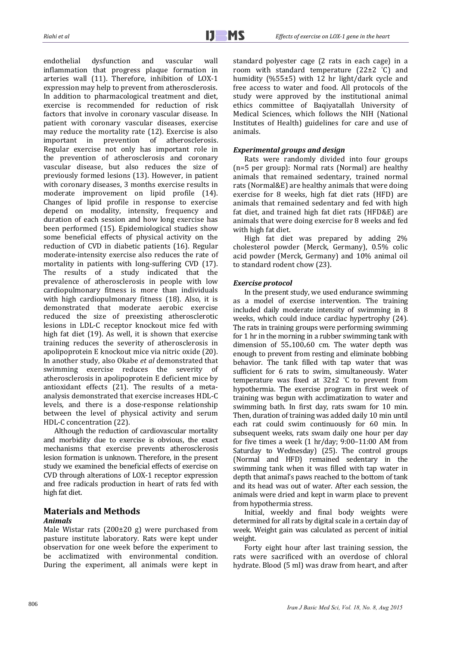endothelial dysfunction and vascular wall inflammation that progress plaque formation in arteries wall (11). Therefore, inhibition of LOX-1 expression may help to prevent from atherosclerosis. In addition to pharmacological treatment and diet, exercise is recommended for reduction of risk factors that involve in coronary vascular disease. In patient with coronary vascular diseases, exercise may reduce the mortality rate  $(12)$ . Exercise is also important in prevention of atherosclerosis. Regular exercise not only has important role in the prevention of atherosclerosis and coronary vascular disease, but also reduces the size of previously formed lesions (13). However, in patient with coronary diseases, 3 months exercise results in moderate improvement on lipid profile (14). Changes of lipid profile in response to exercise depend on modality, intensity, frequency and duration of each session and how long exercise has been performed (15). Epidemiological studies show some beneficial effects of physical activity on the reduction of CVD in diabetic patients (16). Regular moderate-intensity exercise also reduces the rate of mortality in patients with long-suffering CVD (17). The results of a study indicated that the prevalence of atherosclerosis in people with low cardiopulmonary fitness is more than individuals with high cardiopulmonary fitness  $(18)$ . Also, it is demonstrated that moderate aerobic exercise reduced the size of preexisting atherosclerotic lesions in LDL-C receptor knockout mice fed with high fat diet  $(19)$ . As well, it is shown that exercise training reduces the severity of atherosclerosis in apolipoprotein E knockout mice via nitric oxide (20). In another study, also Okabe *et al* demonstrated that swimming exercise reduces the severity of atherosclerosis in apolipoprotein E deficient mice by antioxidant effects (21). The results of a metaanalysis demonstrated that exercise increases HDL-C levels, and there is a dose-response relationship between the level of physical activity and serum HDL-C concentration (22).

Although the reduction of cardiovascular mortality and morbidity due to exercise is obvious, the exact mechanisms that exercise prevents atherosclerosis lesion formation is unknown. Therefore, in the present study we examined the beneficial effects of exercise on CVD through alterations of LOX-1 receptor expression and free radicals production in heart of rats fed with high fat diet.

### **Materials and Methods** *Animals*

Male Wistar rats  $(200\pm 20 \text{ g})$  were purchased from pasture institute laboratory. Rats were kept under observation for one week before the experiment to be acclimatized with environmental condition. During the experiment, all animals were kept in standard polyester cage (2 rats in each cage) in a room with standard temperature  $(22\pm 2 \degree C)$  and humidity  $(\frac{655}{12})$  with 12 hr light/dark cycle and free access to water and food. All protocols of the study were approved by the institutional animal ethics committee of Baqiyatallah University of Medical Sciences, which follows the NIH (National Institutes of Health) guidelines for care and use of animals. 

## *Experimental groups and design*

Rats were randomly divided into four groups (n=5 per group): Normal rats (Normal) are healthy animals that remained sedentary, trained normal rats (Normal&E) are healthy animals that were doing exercise for 8 weeks, high fat diet rats (HFD) are animals that remained sedentary and fed with high fat diet, and trained high fat diet rats (HFD&E) are animals that were doing exercise for 8 weeks and fed with high fat diet.

High fat diet was prepared by adding  $2\%$ cholesterol powder (Merck, Germany), 0.5% colic acid powder (Merck, Germany) and 10% animal oil to standard rodent chow (23).

#### *Exercise protocol*

In the present study, we used endurance swimming as a model of exercise intervention. The training included daily moderate intensity of swimming in 8 weeks, which could induce cardiac hypertrophy  $(24)$ . The rats in training groups were performing swimming for  $1$  hr in the morning in a rubber swimming tank with dimension of  $55\times100\times60$  cm. The water depth was enough to prevent from resting and eliminate bobbing behavior. The tank filled with tap water that was sufficient for 6 rats to swim, simultaneously. Water temperature was fixed at  $32\pm2$  °C to prevent from hypothermia. The exercise program in first week of training was begun with acclimatization to water and swimming bath. In first day, rats swam for 10 min. Then, duration of training was added daily 10 min until each rat could swim continuously for 60 min. In subsequent weeks, rats swam daily one hour per day for five times a week  $(1 hr/day; 9:00-11:00 AM from$ Saturday to Wednesday) (25). The control groups (Normal and HFD) remained sedentary in the swimming tank when it was filled with tap water in depth that animal's paws reached to the bottom of tank and its head was out of water. After each session, the animals were dried and kept in warm place to prevent from hypothermia stress.

Initial, weekly and final body weights were determined for all rats by digital scale in a certain day of week. Weight gain was calculated as percent of initial weight. 

Forty eight hour after last training session, the rats were sacrificed with an overdose of chloral hydrate. Blood (5 ml) was draw from heart, and after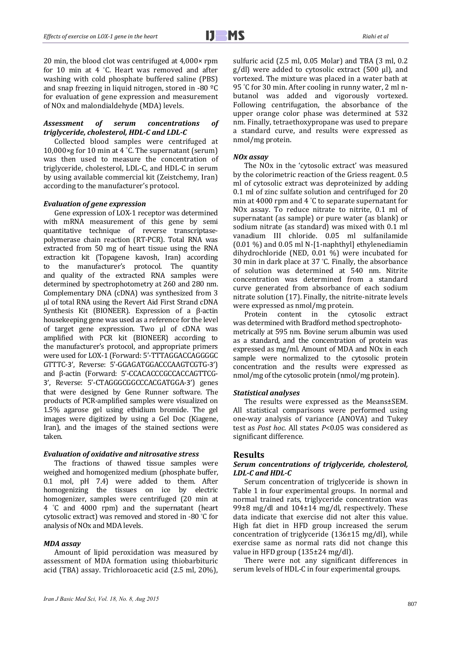20 min, the blood clot was centrifuged at  $4,000\times$  rpm for 10 min at 4 °C. Heart was removed and after washing with cold phosphate buffered saline (PBS) and snap freezing in liquid nitrogen, stored in -80 $°C$ for evaluation of gene expression and measurement of NO<sub>x</sub> and malondialdehyde (MDA) levels.

### *Assessment of serum concentrations of triglyceride, cholesterol, HDL‐C and LDL‐C*

Collected blood samples were centrifuged at 10,000 $\times$ g for 10 min at 4 °C. The supernatant (serum) was then used to measure the concentration of triglyceride, cholesterol, LDL-C, and HDL-C in serum by using available commercial kit (Zeistchemy, Iran) according to the manufacturer's protocol.

#### *Evaluation of gene expression*

Gene expression of LOX-1 receptor was determined with mRNA measurement of this gene by semi quantitative technique of reverse transcriptasepolymerase chain reaction (RT-PCR). Total RNA was extracted from 50 mg of heart tissue using the RNA extraction kit (Topagene kavosh, Iran) according to the manufacturer's protocol. The quantity and quality of the extracted RNA samples were determined by spectrophotometry at 260 and 280 nm. Complementary DNA (cDNA) was synthesized from 3 μl of total RNA using the Revert Aid First Strand cDNA Synthesis Kit (BIONEER). Expression of a  $\beta$ -actin housekeeping gene was used as a reference for the level of target gene expression. Two µl of cDNA was amplified with PCR kit (BIONEER) according to the manufacturer's protocol, and appropriate primers were used for LOX-1 (Forward: 5'-TTTAGGACCAGGGGC GTTTC‐3', Reverse: 5'‐GGAGATGGACCCAAGTCGTG‐3') and β-actin (Forward: 5'-CCACACCCGCCACCAGTTCG-3', Reverse: 5'-CTAGGGCGGCCCACGATGGA-3') genes that were designed by Gene Runner software. The products of PCR-amplified samples were visualized on 1.5% agarose gel using ethidium bromide. The gel images were digitized by using a Gel Doc (Kiagene, Iran), and the images of the stained sections were taken. 

#### *Evaluation of oxidative and nitrosative stress*

The fractions of thawed tissue samples were weighed and homogenized medium (phosphate buffer, 0.1 mol, pH 7.4) were added to them. After homogenizing the tissues on ice by electric homogenizer, samples were centrifuged (20 min at 4 ° C and 4000 rpm) and the supernatant (heart cytosolic extract) was removed and stored in -80 $°C$  for analysis of NO<sub>x</sub> and MDA levels.

#### *MDA assay*

Amount of lipid peroxidation was measured by assessment of MDA formation using thiobarbituric acid (TBA) assay. Trichloroacetic acid (2.5 ml, 20%), sulfuric acid  $(2.5 \text{ ml}, 0.05 \text{ Molar})$  and TBA  $(3 \text{ ml}, 0.2)$  $g/dl$ ) were added to cytosolic extract (500  $\mu$ l), and vortexed. The mixture was placed in a water bath at 95 °C for 30 min. After cooling in runny water, 2 ml nbutanol was added and vigorously vortexed. Following centrifugation, the absorbance of the upper orange color phase was determined at 532 nm. Finally, tetraethoxypropane was used to prepare a standard curve, and results were expressed as nmol/mg protein.

#### *NOx assay*

The NO<sub>x</sub> in the 'cytosolic extract' was measured by the colorimetric reaction of the Griess reagent. 0.5 ml of cytosolic extract was deproteinized by adding 0.1 ml of zinc sulfate solution and centrifuged for 20 min at 4000 rpm and 4  $\degree$ C to separate supernatant for NOx assay. To reduce nitrate to nitrite, 0.1 ml of supernatant (as sample) or pure water (as blank) or sodium nitrate (as standard) was mixed with 0.1 ml vanadium III chloride. 0.05 ml sulfanilamide  $(0.01\%)$  and  $0.05$  ml N-[1-naphthyl] ethylenediamin dihydrochloride (NED, 0.01 %) were incubated for 30 min in dark place at 37  $°C$ . Finally, the absorbance of solution was determined at 540 nm. Nitrite concentration was determined from a standard curve generated from absorbance of each sodium nitrate solution (17). Finally, the nitrite-nitrate levels were expressed as nmol/mg protein.

Protein content in the cytosolic extract was determined with Bradford method spectrophotometrically at 595 nm. Bovine serum albumin was used as a standard, and the concentration of protein was expressed as mg/ml. Amount of MDA and NO<sub>x</sub> in each sample were normalized to the cytosolic protein concentration and the results were expressed as nmol/mg of the cytosolic protein (nmol/mg protein).

#### *Statistical analyses*

The results were expressed as the Means±SEM. All statistical comparisons were performed using one-way analysis of variance (ANOVA) and Tukey test as *Post hoc*. All states *P*<0.05 was considered as significant difference.

### **Results**

#### *Serum concentrations of triglyceride, cholesterol, LDL‐C and HDL‐C*

Serum concentration of triglyceride is shown in Table 1 in four experimental groups. In normal and normal trained rats, triglyceride concentration was 99 $\pm$ 8 mg/dl and 104 $\pm$ 14 mg/dl, respectively. These data indicate that exercise did not alter this value. High fat diet in HFD group increased the serum concentration of triglyceride  $(136\pm15 \text{ mg/dl})$ , while exercise same as normal rats did not change this value in HFD group  $(135\pm24 \text{ mg/dl})$ .

There were not any significant differences in serum levels of HDL-C in four experimental groups.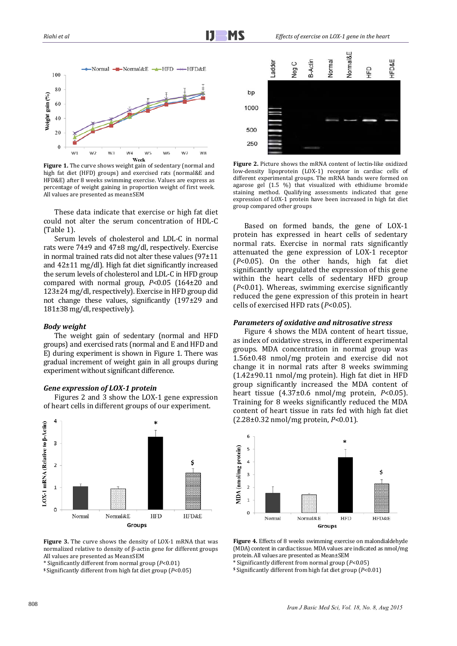

**Figure 1.** The curve shows weight gain of sedentary (normal and high fat diet (HFD) groups) and exercised rats (normal&E and HFD&E) after 8 weeks swimming exercise. Values are express as percentage of weight gaining in proportion weight of first week. All values are presented as mean±SEM

These data indicate that exercise or high fat diet could not alter the serum concentration of HDL-C  $(Table 1)$ .

Serum levels of cholesterol and LDL-C in normal rats were  $74\pm9$  and  $47\pm8$  mg/dl, respectively. Exercise in normal trained rats did not alter these values  $(97±11)$ and  $42\pm11$  mg/dl). High fat diet significantly increased the serum levels of cholesterol and LDL-C in HFD group compared with normal group,  $P<0.05$  (164±20 and  $123\pm24$  mg/dl, respectively). Exercise in HFD group did not change these values, significantly  $(197±29$  and 181±38 mg/dl, respectively).

#### *Body weight*

The weight gain of sedentary (normal and HFD groups) and exercised rats (normal and E and HFD and E) during experiment is shown in Figure 1. There was gradual increment of weight gain in all groups during experiment without significant difference.



Figures 2 and 3 show the LOX-1 gene expression of heart cells in different groups of our experiment.



**Figure** 3. The curve shows the density of LOX-1 mRNA that was normalized relative to density of β-actin gene for different groups All values are presented as Mean+SEM

**\$** Significantly different from high fat diet group (*P*<0.05) 



**Figure 2.** Picture shows the mRNA content of lectin-like oxidized low-density lipoprotein (LOX-1) receptor in cardiac cells of different experimental groups. The mRNA bands were formed on agarose gel  $(1.5 \%)$  that visualized with ethidiume bromide staining method. Qualifying assessments indicated that gene expression of LOX-1 protein have been increased in high fat diet group compared other groups

Based on formed bands, the gene of LOX-1 protein has expressed in heart cells of sedentary normal rats. Exercise in normal rats significantly attenuated the gene expression of LOX-1 receptor  $(P<0.05)$ . On the other hands, high fat diet significantly upregulated the expression of this gene within the heart cells of sedentary HFD group  $(P<0.01)$ . Whereas, swimming exercise significantly reduced the gene expression of this protein in heart cells of exercised HFD rats (*P*<0.05).

#### *Parameters of oxidative and nitrosative stress*

Figure 4 shows the MDA content of heart tissue, as index of oxidative stress, in different experimental groups. MDA concentration in normal group was 1.56±0.48 nmol/mg protein and exercise did not change it in normal rats after 8 weeks swimming  $(1.42\pm90.11 \text{ nmol/mg protein})$ . High fat diet in HFD group significantly increased the MDA content of heart tissue  $(4.37\pm0.6 \text{ nmol/mg protein}, P<0.05)$ . Training for 8 weeks significantly reduced the MDA content of heart tissue in rats fed with high fat diet (2.28±0.32 nmol/mg protein, *P*<0.01).



**Figure 4.** Effects of 8 weeks swimming exercise on malondialdehyde (MDA) content in cardiac tissue. MDA values are indicated as nmol/mg protein. All values are presented as Mean±SEM

\* Significantly different from normal group (*P*<0.05) 

**\$** Significantly different from high fat diet group (*P*<0.01) 

<sup>\*</sup> Significantly different from normal group (*P*<0.01)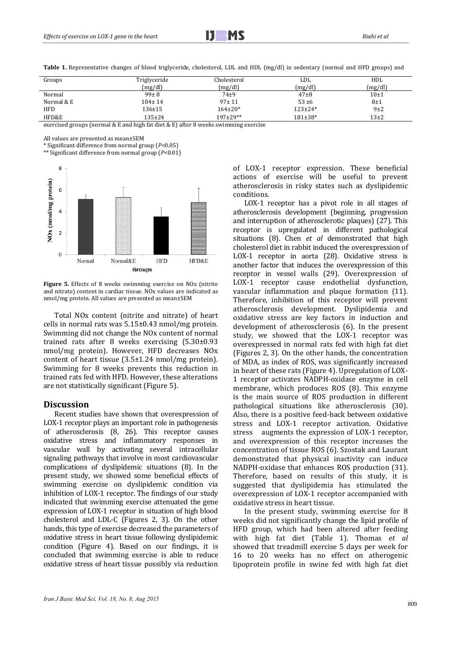| Groups     | Triglyceride | Cholesterol   | LDL            | HDL      |
|------------|--------------|---------------|----------------|----------|
|            | (mg/dl)      | (mg/dl)       | (mg/dl)        | (mg/dl)  |
| Normal     | $99 \pm 8$   | $74\pm9$      | $47 + 8$       | 10±1     |
| Normal & E | $104 \pm 14$ | $97 \pm 11$   | $53 + 6$       | 8±1      |
| <b>HFD</b> | $136 \pm 15$ | $164 \pm 20*$ | $123 \pm 24*$  | $9+2$    |
| HFD&E      | 135±24       | $197+29**$    | $181 \pm 38$ * | $13\pm2$ |

**Table 1.** Representative changes of blood triglyceride, cholesterol, LDL and HDL (mg/dl) in sedentary (normal and HFD groups) and

exercised groups (normal  $&E$  and high fat diet  $&E$ ) after 8 weeks swimming exercise

All values are presented as mean±SEM

\* Significant difference from normal group (*P*<0.05) 

\*\* Significant difference from normal group (*P*<0.01) 



**Figure** 5. Effects of 8 weeks swimming exercise on NO<sub>x</sub> (nitrite) and nitrate) content in cardiac tissue. NOx values are indicated as nmol/mg protein. All values are presented as mean±SEM

Total NO<sub>x</sub> content (nitrite and nitrate) of heart cells in normal rats was  $5.15\pm0.43$  nmol/mg protein. Swimming did not change the NO<sub>x</sub> content of normal trained rats after 8 weeks exercising  $(5.30\pm0.93)$ nmol/mg protein). However, HFD decreases NO<sub>x</sub> content of heart tissue  $(3.5\pm1.24 \text{ nmol/mg protein})$ . Swimming for 8 weeks prevents this reduction in trained rats fed with HFD. However, these alterations are not statistically significant (Figure 5).

#### **Discussion**

Recent studies have shown that overexpression of LOX-1 receptor plays an important role in pathogenesis of atherosclerosis (8, 26). This receptor causes oxidative stress and inflammatory responses in vascular wall by activating several intracellular signaling pathways that involve in most cardiovascular complications of dyslipidemic situations (8). In the present study, we showed some beneficial effects of swimming exercise on dyslipidemic condition via inhibition of LOX-1 receptor. The findings of our study indicated that swimming exercise attenuated the gene expression of LOX-1 receptor in situation of high blood cholesterol and LDL-C (Figures 2, 3). On the other hands, this type of exercise decreased the parameters of oxidative stress in heart tissue following dyslipidemic condition (Figure 4). Based on our findings, it is concluded that swimming exercise is able to reduce oxidative stress of heart tissue possibly via reduction of LOX-1 receptor expression. These beneficial actions of exercise will be useful to prevent atherosclerosis in risky states such as dyslipidemic conditions. 

LOX-1 receptor has a pivot role in all stages of atherosclerosis development (beginning, progression and interruption of atherosclerotic plaques) (27). This receptor is upregulated in different pathological situations (8). Chen *et al* demonstrated that high cholesterol diet in rabbit induced the overexpression of LOX-1 receptor in aorta (28). Oxidative stress is another factor that induces the overexpression of this receptor in vessel walls (29). Overexpression of LOX-1 receptor cause endothelial dysfunction, vascular inflammation and plaque formation (11). Therefore, inhibition of this receptor will prevent atherosclerosis development. Dyslipidemia and oxidative stress are key factors in induction and development of atherosclerosis (6). In the present study, we showed that the LOX-1 receptor was overexpressed in normal rats fed with high fat diet (Figures 2, 3). On the other hands, the concentration of MDA, as index of ROS, was significantly increased in heart of these rats (Figure 4). Upregulation of  $LOX$ -1 receptor activates NADPH-oxidase enzyme in cell membrane, which produces ROS (8). This enzyme is the main source of ROS production in different pathological situations like atherosclerosis (30). Also, there is a positive feed-back between oxidative stress and LOX-1 receptor activation. Oxidative stress augments the expression of LOX-1 receptor, and overexpression of this receptor increases the concentration of tissue ROS (6). Szostak and Laurant demonstrated that physical inactivity can induce NADPH-oxidase that enhances ROS production (31). Therefore, based on results of this study, it is suggested that dyslipidemia has stimulated the overexpression of LOX-1 receptor accompanied with oxidative stress in heart tissue.

In the present study, swimming exercise for 8 weeks did not significantly change the lipid profile of HFD group, which had been altered after feeding with high fat diet (Table 1). Thomas et al showed that treadmill exercise 5 days per week for 16 to 20 weeks has no effect on atherogenic lipoprotein profile in swine fed with high fat diet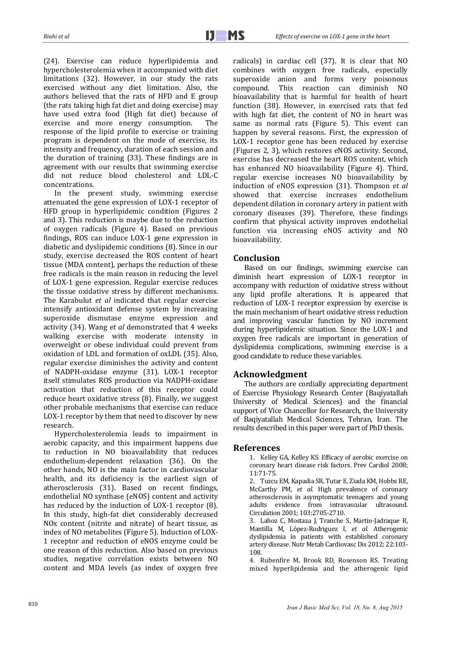(24). Exercise can reduce hyperlipidemia and hypercholesterolemia when it accompanied with diet limitations (32). However, in our study the rats exercised without any diet limitation. Also, the authors believed that the rats of HFD and E group (the rats taking high fat diet and doing exercise) may have used extra food (High fat diet) because of exercise and more energy consumption. The response of the lipid profile to exercise or training program is dependent on the mode of exercise, its intensity and frequency, duration of each session and the duration of training (33). These findings are in agreement with our results that swimming exercise did not reduce blood cholesterol and LDL-C concentrations. 

In the present study, swimming exercise attenuated the gene expression of LOX-1 receptor of HFD group in hyperlipidemic condition (Figures 2) and 3). This reduction is maybe due to the reduction of oxygen radicals (Figure 4). Based on previous findings, ROS can induce LOX-1 gene expression in diabetic and dyslipidemic conditions (8). Since in our study, exercise decreased the ROS content of heart tissue (MDA content), perhaps the reduction of these free radicals is the main reason in reducing the level of LOX-1 gene expression. Regular exercise reduces the tissue oxidative stress by different mechanisms. The Karabulut *et al* indicated that regular exercise intensify antioxidant defense system by increasing superoxide dismutase enzyme expression and activity (34). Wang *et al* demonstrated that 4 weeks walking exercise with moderate intensity in overweight or obese individual could prevent from oxidation of LDL and formation of oxLDL (35). Also, regular exercise diminishes the activity and content of NADPH-oxidase enzyme (31). LOX-1 receptor itself stimulates ROS production via NADPH-oxidase activation that reduction of this receptor could reduce heart oxidative stress (8). Finally, we suggest other probable mechanisms that exercise can reduce LOX-1 receptor by them that need to discover by new research. 

Hypercholesterolemia leads to impairment in aerobic capacity, and this impairment happens due to reduction in NO bioavailability that reduces endothelium-dependent relaxation (36). On the other hands, NO is the main factor in cardiovascular health, and its deficiency is the earliest sign of atherosclerosis (31). Based on recent findings, endothelial NO synthase (eNOS) content and activity has reduced by the induction of LOX-1 receptor  $(8)$ . In this study, high-fat diet considerably decreased NOx content (nitrite and nitrate) of heart tissue, as index of NO metabolites (Figure 5). Induction of LOX-1 receptor and reduction of eNOS enzyme could be one reason of this reduction. Also based on previous studies, negative correlation exists between NO content and MDA levels (as index of oxygen free

radicals) in cardiac cell (37). It is clear that NO combines with oxygen free radicals, especially superoxide anion and forms very poisonous compound. This reaction can diminish NO bioavailability that is harmful for health of heart function (38). However, in exercised rats that fed with high fat diet, the content of NO in heart was same as normal rats (Figure 5). This event can happen by several reasons. First, the expression of LOX-1 receptor gene has been reduced by exercise (Figures 2, 3), which restores eNOS activity. Second, exercise has decreased the heart ROS content, which has enhanced NO bioavailability (Figure 4). Third, regular exercise increases NO bioavailability by induction of eNOS expression (31). Thompson *et al* showed that exercise increases endothelium dependent dilation in coronary artery in patient with coronary diseases (39). Therefore, these findings confirm that physical activity improves endothelial function via increasing eNOS activity and NO bioavailability. 

## **Conclusion**

Based on our findings, swimming exercise can diminish heart expression of LOX-1 receptor in accompany with reduction of oxidative stress without any lipid profile alterations. It is appeared that reduction of LOX-1 receptor expression by exercise is the main mechanism of heart oxidative stress reduction and improving vascular function by NO increment during hyperlipidemic situation. Since the LOX-1 and oxygen free radicals are important in generation of dyslipidemia complications, swimming exercise is a good candidate to reduce these variables.

# **Acknowledgment**

The authors are cordially appreciating department of Exercise Physiology Research Center (Baqiyatallah University of Medical Sciences) and the financial support of Vice Chancellor for Research, the University of Baqiyatallah Medical Sciences, Tehran, Iran. The results described in this paper were part of PhD thesis.

#### **References**

1. Kelley GA, Kelley KS. Efficacy of aerobic exercise on coronary heart disease risk factors. Prev Cardiol 2008; 11:71‐75. 

2. Tuzcu EM, Kapadia SR, Tutar E, Ziada KM, Hobbs RE, McCarthy PM, et al. High prevalence of coronary atherosclerosis in asymptomatic teenagers and young adults evidence from intravascular ultrasound. Circulation 2001; 103:2705-2710.

3. Lahoz C, Mostaza J, Tranche S, Martin-Jadraque R, Mantilla M, López‐Rodriguez I, *et al*. Atherogenic dyslipidemia in patients with established coronary artery disease. Nutr Metab Cardiovasc Dis 2012; 22:103-108. 

4. Rubenfire M. Brook RD, Rosenson RS, Treating mixed hyperlipidemia and the atherogenic lipid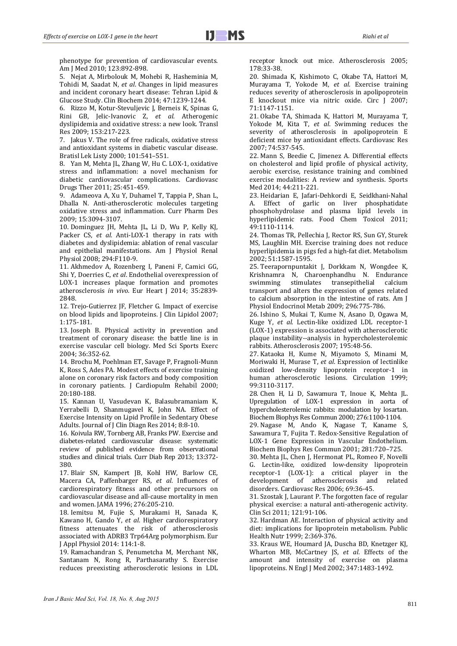phenotype for prevention of cardiovascular events. Am I Med 2010: 123:892-898.

5. Nejat A, Mirbolouk M, Mohebi R, Hasheminia M, Tohidi M, Saadat N, et al. Changes in lipid measures and incident coronary heart disease: Tehran Lipid & Glucose Study. Clin Biochem 2014; 47:1239‐1244. 

6. Rizzo M, Kotur-Stevuljevic J, Berneis K, Spinas G, Rini GB, Jelic‐Ivanovic Z, *et al*. Atherogenic dyslipidemia and oxidative stress: a new look. Transl Res 2009; 153:217‐223. 

7. Jakus V. The role of free radicals, oxidative stress and antioxidant systems in diabetic vascular disease. Bratisl Lek Listy 2000; 101:541-551.

8. Yan M, Mehta JL, Zhang W, Hu C. LOX-1, oxidative stress and inflammation: a novel mechanism for diabetic cardiovascular complications. Cardiovasc Drugs Ther 2011; 25:451-459.

9. Adameova A, Xu Y, Duhamel T, Tappia P, Shan L, Dhalla N. Anti-atherosclerotic molecules targeting oxidative stress and inflammation. Curr Pharm Des 2009; 15:3094‐3107. 

10. Dominguez JH, Mehta JL, Li D, Wu P, Kelly KJ, Packer CS, et al. Anti-LOX-1 therapy in rats with diabetes and dyslipidemia: ablation of renal vascular and epithelial manifestations. Am J Physiol Renal Physiol 2008; 294:F110-9.

11. Akhmedov A, Rozenberg I, Paneni F, Camici GG, Shi Y, Doerries C, et al. Endothelial overexpression of LOX-1 increases plaque formation and promotes atherosclerosis *in vivo*. Eur Heart J 2014; 35:2839-2848. 

12. Trejo-Gutierrez JF, Fletcher G. Impact of exercise on blood lipids and lipoproteins. J Clin Lipidol 2007; 1:175‐181. 

13. Joseph B. Physical activity in prevention and treatment of coronary disease: the battle line is in exercise vascular cell biology. Med Sci Sports Exerc 2004; 36:352‐62. 

14. Brochu M, Poehlman ET, Savage P, Fragnoli-Munn K, Ross S, Ades PA. Modest effects of exercise training alone on coronary risk factors and body composition in coronary patients. J Cardiopulm Rehabil 2000: 20:180‐188. 

15. Kannan U, Vasudevan K, Balasubramaniam K, Yerrabelli D, Shanmugavel K, John NA. Effect of Exercise Intensity on Lipid Profile in Sedentary Obese Adults. Journal of J Clin Diagn Res 2014; 8:8-10.

16. Koivula RW, Tornberg AB, Franks PW. Exercise and diabetes-related cardiovascular disease: systematic review of published evidence from observational studies and clinical trials. Curr Diab Rep 2013; 13:372-380. 

17. Blair SN, Kampert JB, Kohl HW, Barlow CE, Macera CA, Paffenbarger RS, et al. Influences of cardiorespiratory fitness and other precursors on cardiovascular disease and all-cause mortality in men and women. JAMA 1996; 276:205-210.

18. Iemitsu M, Fujie S, Murakami H, Sanada K, Kawano H, Gando Y, et al. Higher cardiorespiratory fitness attenuates the risk of atherosclerosis associated with ADRB3 Trp64Arg polymorphism. Eur J Appl Physiol 2014: 114:1‐8. 

19. Ramachandran S, Penumetcha M, Merchant NK, Santanam N, Rong R, Parthasarathy S. Exercise reduces preexisting atherosclerotic lesions in LDL receptor knock out mice. Atherosclerosis 2005; 178:33‐38. 

20. Shimada K, Kishimoto C, Okabe TA, Hattori M, Murayama T, Yokode M, *et al*. Exercise training reduces severity of atherosclerosis in apolipoprotein E knockout mice via nitric oxide. Circ J 2007; 71:1147‐1151. 

21. Okabe TA, Shimada K, Hattori M, Murayama T, Yokode M, Kita T, et al. Swimming reduces the severity of atherosclerosis in apolipoprotein E deficient mice by antioxidant effects. Cardiovasc Res 2007; 74:537‐545. 

22. Mann S, Beedie C, Jimenez A. Differential effects on cholesterol and lipid profile of physical activity, aerobic exercise, resistance training and combined exercise modalities: A review and synthesis. Sports Med 2014; 44:211-221.

23. Heidarian E, Jafari-Dehkordi E, Seidkhani-Nahal A. Effect of garlic on liver phosphatidate phosphohydrolase and plasma lipid levels in hyperlipidemic rats. Food Chem Toxicol 2011; 49:1110‐1114. 

24. Thomas TR, Pellechia J, Rector RS, Sun GY, Sturek MS, Laughlin MH. Exercise training does not reduce hyperlipidemia in pigs fed a high-fat diet. Metabolism 2002; 51:1587‐1595. 

25. Teerapornpuntakit J, Dorkkam N, Wongdee K, Krishnamra N, Charoenphandhu N. Endurance swimming stimulates transepithelial calcium transport and alters the expression of genes related to calcium absorption in the intestine of rats. Am J Physiol Endocrinol Metab 2009; 296:775-786.

26. Ishino S, Mukai T, Kume N, Asano D, Ogawa M, Kuge Y, et al. Lectin-like oxidized LDL receptor-1 (LOX-1) expression is associated with atherosclerotic plaque instability--analysis in hypercholesterolemic rabbits. Atherosclerosis 2007; 195:48-56.

27. Kataoka H, Kume N, Miyamoto S, Minami M, Moriwaki H, Murase T, et al. Expression of lectinlike oxidized low‐density lipoprotein receptor‐1 in human atherosclerotic lesions. Circulation 1999; 99:3110‐3117. 

28. Chen H, Li D, Sawamura T, Inoue K, Mehta JL. Upregulation of LOX-1 expression in aorta of hypercholesterolemic rabbits: modulation by losartan. Biochem Biophys Res Commun 2000; 276:1100-1104.

29. Nagase M, Ando K, Nagase T, Kaname S. Sawamura T, Fujita T. Redox-Sensitive Regulation of LOX-1 Gene Expression in Vascular Endothelium. Biochem Biophys Res Commun 2001; 281:720-725.

30. Mehta JL, Chen J, Hermonat PL, Romeo F, Novelli G. Lectin‐like, oxidized low‐density lipoprotein receptor-1 (LOX-1): a critical player in the development of atherosclerosis and related disorders. Cardiovasc Res 2006; 69:36-45.

31. Szostak J, Laurant P. The forgotten face of regular physical exercise: a natural anti-atherogenic activity. Clin Sci 2011; 121:91-106.

32. Hardman AE. Interaction of physical activity and diet: implications for lipoprotein metabolism. Public Health Nutr 1999: 2:369-376.

33. Kraus WE, Houmard JA, Duscha BD, Knetzger KJ, Wharton MB, McCartney JS, et al. Effects of the amount and intensity of exercise on plasma lipoproteins. N Engl J Med 2002; 347:1483-1492.